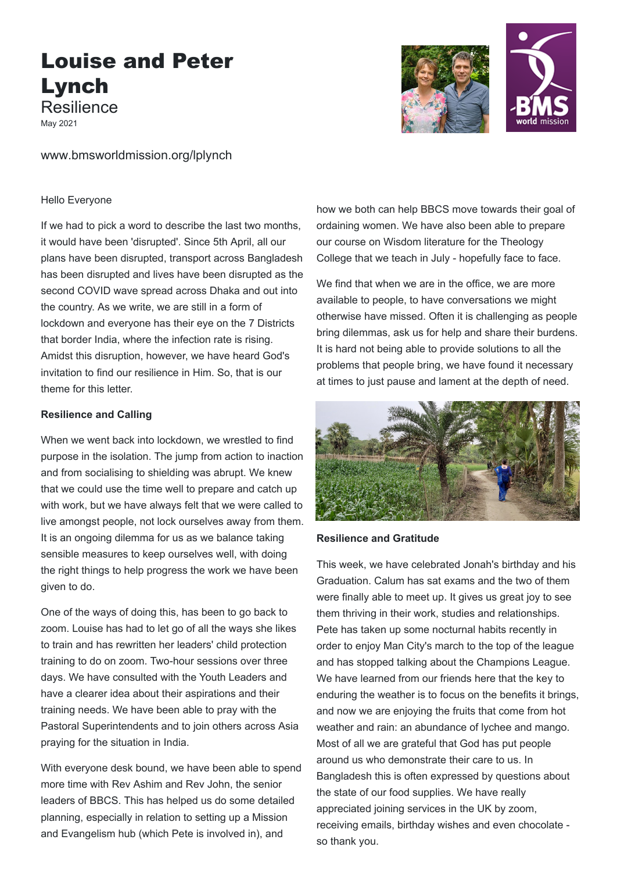# Louise and Peter Lynch Resilience

May 2021

www.bmsworldmission.org/lplynch

#### Hello Everyone

If we had to pick a word to describe the last two months, it would have been 'disrupted'. Since 5th April, all our plans have been disrupted, transport across Bangladesh has been disrupted and lives have been disrupted as the second COVID wave spread across Dhaka and out into the country. As we write, we are still in a form of lockdown and everyone has their eye on the 7 Districts that border India, where the infection rate is rising. Amidst this disruption, however, we have heard God's invitation to find our resilience in Him. So, that is our theme for this letter.

### **Resilience and Calling**

When we went back into lockdown, we wrestled to find purpose in the isolation. The jump from action to inaction and from socialising to shielding was abrupt. We knew that we could use the time well to prepare and catch up with work, but we have always felt that we were called to live amongst people, not lock ourselves away from them. It is an ongoing dilemma for us as we balance taking sensible measures to keep ourselves well, with doing the right things to help progress the work we have been given to do.

One of the ways of doing this, has been to go back to zoom. Louise has had to let go of all the ways she likes to train and has rewritten her leaders' child protection training to do on zoom. Two-hour sessions over three days. We have consulted with the Youth Leaders and have a clearer idea about their aspirations and their training needs. We have been able to pray with the Pastoral Superintendents and to join others across Asia praying for the situation in India.

With everyone desk bound, we have been able to spend more time with Rev Ashim and Rev John, the senior leaders of BBCS. This has helped us do some detailed planning, especially in relation to setting up a Mission and Evangelism hub (which Pete is involved in), and



We find that when we are in the office, we are more available to people, to have conversations we might otherwise have missed. Often it is challenging as people bring dilemmas, ask us for help and share their burdens. It is hard not being able to provide solutions to all the problems that people bring, we have found it necessary at times to just pause and lament at the depth of need.



# **Resilience and Gratitude**

This week, we have celebrated Jonah's birthday and his Graduation. Calum has sat exams and the two of them were finally able to meet up. It gives us great joy to see them thriving in their work, studies and relationships. Pete has taken up some nocturnal habits recently in order to enjoy Man City's march to the top of the league and has stopped talking about the Champions League. We have learned from our friends here that the key to enduring the weather is to focus on the benefits it brings, and now we are enjoying the fruits that come from hot weather and rain: an abundance of lychee and mango. Most of all we are grateful that God has put people around us who demonstrate their care to us. In Bangladesh this is often expressed by questions about the state of our food supplies. We have really appreciated joining services in the UK by zoom, receiving emails, birthday wishes and even chocolate so thank you.